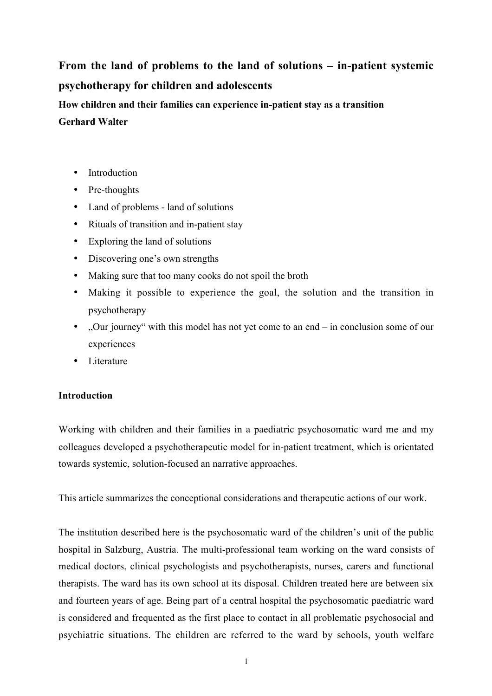# **From the land of problems to the land of solutions – in-patient systemic psychotherapy for children and adolescents**

**How children and their families can experience in-patient stay as a transition**

## **Gerhard Walter**

- Introduction
- Pre-thoughts
- Land of problems land of solutions
- Rituals of transition and in-patient stay
- Exploring the land of solutions
- Discovering one's own strengths
- Making sure that too many cooks do not spoil the broth
- Making it possible to experience the goal, the solution and the transition in psychotherapy
- "Our journey" with this model has not yet come to an end in conclusion some of our experiences
- Literature

# **Introduction**

Working with children and their families in a paediatric psychosomatic ward me and my colleagues developed a psychotherapeutic model for in-patient treatment, which is orientated towards systemic, solution-focused an narrative approaches.

This article summarizes the conceptional considerations and therapeutic actions of our work.

The institution described here is the psychosomatic ward of the children's unit of the public hospital in Salzburg, Austria. The multi-professional team working on the ward consists of medical doctors, clinical psychologists and psychotherapists, nurses, carers and functional therapists. The ward has its own school at its disposal. Children treated here are between six and fourteen years of age. Being part of a central hospital the psychosomatic paediatric ward is considered and frequented as the first place to contact in all problematic psychosocial and psychiatric situations. The children are referred to the ward by schools, youth welfare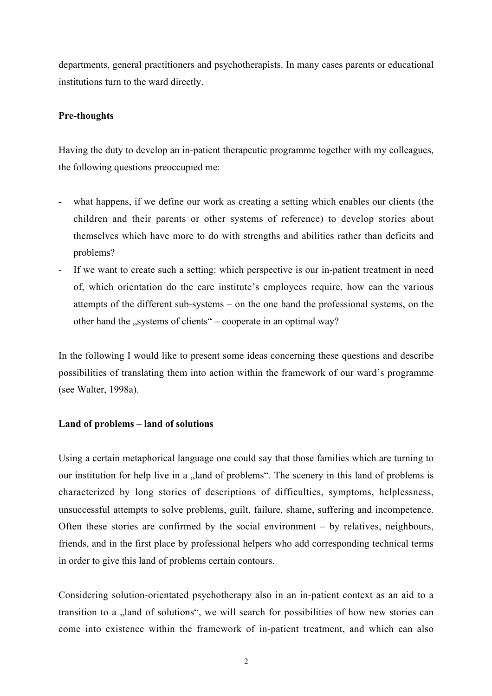departments, general practitioners and psychotherapists. In many cases parents or educational institutions turn to the ward directly.

### **Pre-thoughts**

Having the duty to develop an in-patient therapeutic programme together with my colleagues, the following questions preoccupied me:

- what happens, if we define our work as creating a setting which enables our clients (the children and their parents or other systems of reference) to develop stories about themselves which have more to do with strengths and abilities rather than deficits and problems?
- If we want to create such a setting: which perspective is our in-patient treatment in need of, which orientation do the care institute's employees require, how can the various attempts of the different sub-systems – on the one hand the professional systems, on the other hand the  $nsystems$  of clients" – cooperate in an optimal way?

In the following I would like to present some ideas concerning these questions and describe possibilities of translating them into action within the framework of our ward's programme (see Walter, 1998a).

### **Land of problems – land of solutions**

Using a certain metaphorical language one could say that those families which are turning to our institution for help live in a land of problems". The scenery in this land of problems is characterized by long stories of descriptions of difficulties, symptoms, helplessness, unsuccessful attempts to solve problems, guilt, failure, shame, suffering and incompetence. Often these stories are confirmed by the social environment – by relatives, neighbours, friends, and in the first place by professional helpers who add corresponding technical terms in order to give this land of problems certain contours.

Considering solution-orientated psychotherapy also in an in-patient context as an aid to a transition to a "land of solutions", we will search for possibilities of how new stories can come into existence within the framework of in-patient treatment, and which can also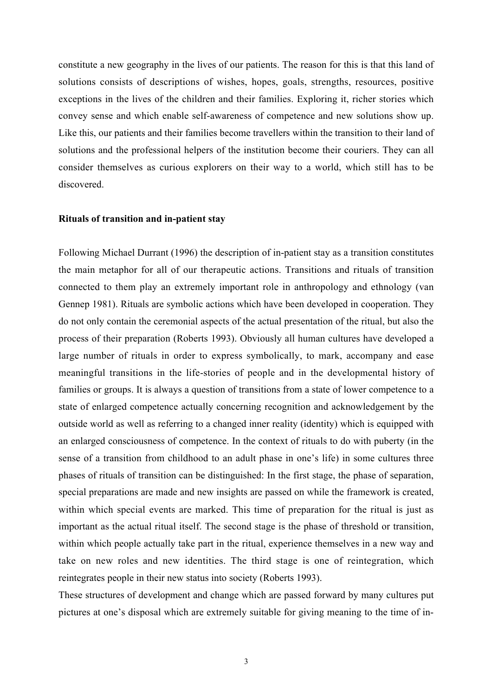constitute a new geography in the lives of our patients. The reason for this is that this land of solutions consists of descriptions of wishes, hopes, goals, strengths, resources, positive exceptions in the lives of the children and their families. Exploring it, richer stories which convey sense and which enable self-awareness of competence and new solutions show up. Like this, our patients and their families become travellers within the transition to their land of solutions and the professional helpers of the institution become their couriers. They can all consider themselves as curious explorers on their way to a world, which still has to be discovered.

### **Rituals of transition and in-patient stay**

Following Michael Durrant (1996) the description of in-patient stay as a transition constitutes the main metaphor for all of our therapeutic actions. Transitions and rituals of transition connected to them play an extremely important role in anthropology and ethnology (van Gennep 1981). Rituals are symbolic actions which have been developed in cooperation. They do not only contain the ceremonial aspects of the actual presentation of the ritual, but also the process of their preparation (Roberts 1993). Obviously all human cultures have developed a large number of rituals in order to express symbolically, to mark, accompany and ease meaningful transitions in the life-stories of people and in the developmental history of families or groups. It is always a question of transitions from a state of lower competence to a state of enlarged competence actually concerning recognition and acknowledgement by the outside world as well as referring to a changed inner reality (identity) which is equipped with an enlarged consciousness of competence. In the context of rituals to do with puberty (in the sense of a transition from childhood to an adult phase in one's life) in some cultures three phases of rituals of transition can be distinguished: In the first stage, the phase of separation, special preparations are made and new insights are passed on while the framework is created, within which special events are marked. This time of preparation for the ritual is just as important as the actual ritual itself. The second stage is the phase of threshold or transition, within which people actually take part in the ritual, experience themselves in a new way and take on new roles and new identities. The third stage is one of reintegration, which reintegrates people in their new status into society (Roberts 1993).

These structures of development and change which are passed forward by many cultures put pictures at one's disposal which are extremely suitable for giving meaning to the time of in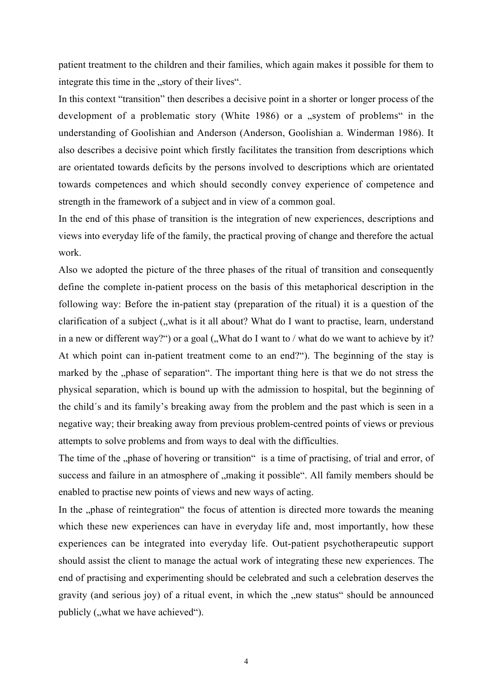patient treatment to the children and their families, which again makes it possible for them to integrate this time in the "story of their lives".

In this context "transition" then describes a decisive point in a shorter or longer process of the development of a problematic story (White 1986) or a "system of problems" in the understanding of Goolishian and Anderson (Anderson, Goolishian a. Winderman 1986). It also describes a decisive point which firstly facilitates the transition from descriptions which are orientated towards deficits by the persons involved to descriptions which are orientated towards competences and which should secondly convey experience of competence and strength in the framework of a subject and in view of a common goal.

In the end of this phase of transition is the integration of new experiences, descriptions and views into everyday life of the family, the practical proving of change and therefore the actual work.

Also we adopted the picture of the three phases of the ritual of transition and consequently define the complete in-patient process on the basis of this metaphorical description in the following way: Before the in-patient stay (preparation of the ritual) it is a question of the clarification of a subject ("what is it all about? What do I want to practise, learn, understand in a new or different way?") or a goal ("What do I want to / what do we want to achieve by it? At which point can in-patient treatment come to an end?"). The beginning of the stay is marked by the "phase of separation". The important thing here is that we do not stress the physical separation, which is bound up with the admission to hospital, but the beginning of the child´s and its family's breaking away from the problem and the past which is seen in a negative way; their breaking away from previous problem-centred points of views or previous attempts to solve problems and from ways to deal with the difficulties.

The time of the "phase of hovering or transition" is a time of practising, of trial and error, of success and failure in an atmosphere of "making it possible". All family members should be enabled to practise new points of views and new ways of acting.

In the "phase of reintegration" the focus of attention is directed more towards the meaning which these new experiences can have in everyday life and, most importantly, how these experiences can be integrated into everyday life. Out-patient psychotherapeutic support should assist the client to manage the actual work of integrating these new experiences. The end of practising and experimenting should be celebrated and such a celebration deserves the gravity (and serious joy) of a ritual event, in which the "new status" should be announced publicly ("what we have achieved").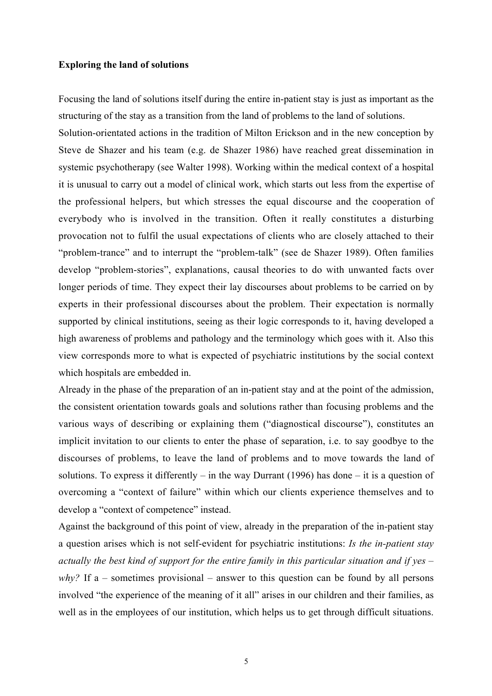### **Exploring the land of solutions**

Focusing the land of solutions itself during the entire in-patient stay is just as important as the structuring of the stay as a transition from the land of problems to the land of solutions.

Solution-orientated actions in the tradition of Milton Erickson and in the new conception by Steve de Shazer and his team (e.g. de Shazer 1986) have reached great dissemination in systemic psychotherapy (see Walter 1998). Working within the medical context of a hospital it is unusual to carry out a model of clinical work, which starts out less from the expertise of the professional helpers, but which stresses the equal discourse and the cooperation of everybody who is involved in the transition. Often it really constitutes a disturbing provocation not to fulfil the usual expectations of clients who are closely attached to their "problem-trance" and to interrupt the "problem-talk" (see de Shazer 1989). Often families develop "problem-stories", explanations, causal theories to do with unwanted facts over longer periods of time. They expect their lay discourses about problems to be carried on by experts in their professional discourses about the problem. Their expectation is normally supported by clinical institutions, seeing as their logic corresponds to it, having developed a high awareness of problems and pathology and the terminology which goes with it. Also this view corresponds more to what is expected of psychiatric institutions by the social context which hospitals are embedded in.

Already in the phase of the preparation of an in-patient stay and at the point of the admission, the consistent orientation towards goals and solutions rather than focusing problems and the various ways of describing or explaining them ("diagnostical discourse"), constitutes an implicit invitation to our clients to enter the phase of separation, i.e. to say goodbye to the discourses of problems, to leave the land of problems and to move towards the land of solutions. To express it differently – in the way Durrant (1996) has done – it is a question of overcoming a "context of failure" within which our clients experience themselves and to develop a "context of competence" instead.

Against the background of this point of view, already in the preparation of the in-patient stay a question arises which is not self-evident for psychiatric institutions: *Is the in-patient stay actually the best kind of support for the entire family in this particular situation and if yes – why?* If a – sometimes provisional – answer to this question can be found by all persons involved "the experience of the meaning of it all" arises in our children and their families, as well as in the employees of our institution, which helps us to get through difficult situations.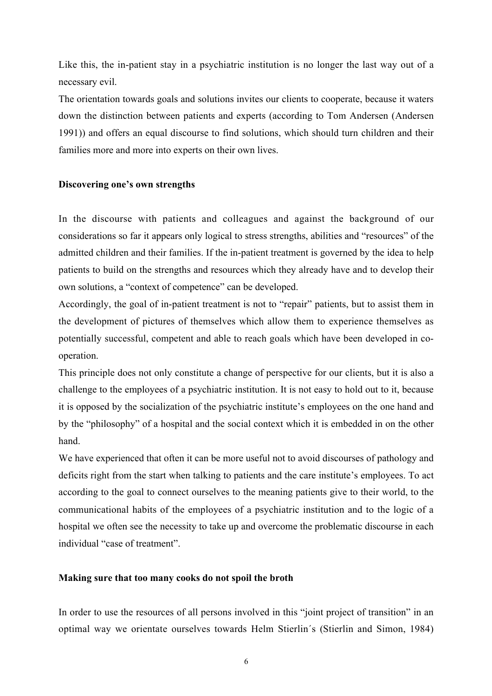Like this, the in-patient stay in a psychiatric institution is no longer the last way out of a necessary evil.

The orientation towards goals and solutions invites our clients to cooperate, because it waters down the distinction between patients and experts (according to Tom Andersen (Andersen 1991)) and offers an equal discourse to find solutions, which should turn children and their families more and more into experts on their own lives.

### **Discovering one's own strengths**

In the discourse with patients and colleagues and against the background of our considerations so far it appears only logical to stress strengths, abilities and "resources" of the admitted children and their families. If the in-patient treatment is governed by the idea to help patients to build on the strengths and resources which they already have and to develop their own solutions, a "context of competence" can be developed.

Accordingly, the goal of in-patient treatment is not to "repair" patients, but to assist them in the development of pictures of themselves which allow them to experience themselves as potentially successful, competent and able to reach goals which have been developed in cooperation.

This principle does not only constitute a change of perspective for our clients, but it is also a challenge to the employees of a psychiatric institution. It is not easy to hold out to it, because it is opposed by the socialization of the psychiatric institute's employees on the one hand and by the "philosophy" of a hospital and the social context which it is embedded in on the other hand.

We have experienced that often it can be more useful not to avoid discourses of pathology and deficits right from the start when talking to patients and the care institute's employees. To act according to the goal to connect ourselves to the meaning patients give to their world, to the communicational habits of the employees of a psychiatric institution and to the logic of a hospital we often see the necessity to take up and overcome the problematic discourse in each individual "case of treatment".

### **Making sure that too many cooks do not spoil the broth**

In order to use the resources of all persons involved in this "joint project of transition" in an optimal way we orientate ourselves towards Helm Stierlin´s (Stierlin and Simon, 1984)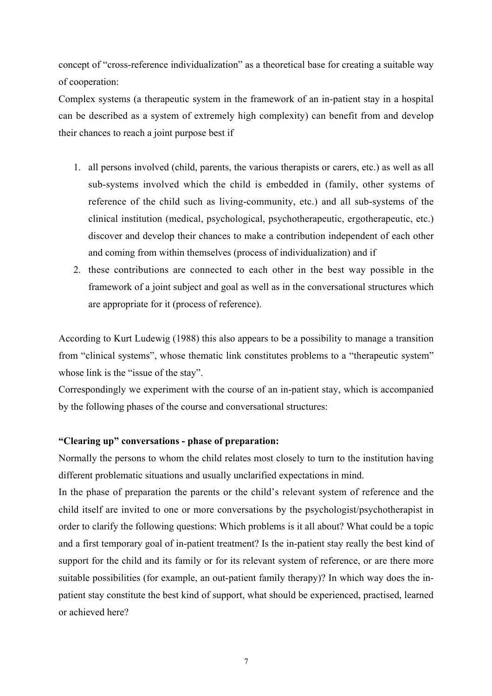concept of "cross-reference individualization" as a theoretical base for creating a suitable way of cooperation:

Complex systems (a therapeutic system in the framework of an in-patient stay in a hospital can be described as a system of extremely high complexity) can benefit from and develop their chances to reach a joint purpose best if

- 1. all persons involved (child, parents, the various therapists or carers, etc.) as well as all sub-systems involved which the child is embedded in (family, other systems of reference of the child such as living-community, etc.) and all sub-systems of the clinical institution (medical, psychological, psychotherapeutic, ergotherapeutic, etc.) discover and develop their chances to make a contribution independent of each other and coming from within themselves (process of individualization) and if
- 2. these contributions are connected to each other in the best way possible in the framework of a joint subject and goal as well as in the conversational structures which are appropriate for it (process of reference).

According to Kurt Ludewig (1988) this also appears to be a possibility to manage a transition from "clinical systems", whose thematic link constitutes problems to a "therapeutic system" whose link is the "issue of the stay".

Correspondingly we experiment with the course of an in-patient stay, which is accompanied by the following phases of the course and conversational structures:

### **"Clearing up" conversations - phase of preparation:**

Normally the persons to whom the child relates most closely to turn to the institution having different problematic situations and usually unclarified expectations in mind.

In the phase of preparation the parents or the child's relevant system of reference and the child itself are invited to one or more conversations by the psychologist/psychotherapist in order to clarify the following questions: Which problems is it all about? What could be a topic and a first temporary goal of in-patient treatment? Is the in-patient stay really the best kind of support for the child and its family or for its relevant system of reference, or are there more suitable possibilities (for example, an out-patient family therapy)? In which way does the inpatient stay constitute the best kind of support, what should be experienced, practised, learned or achieved here?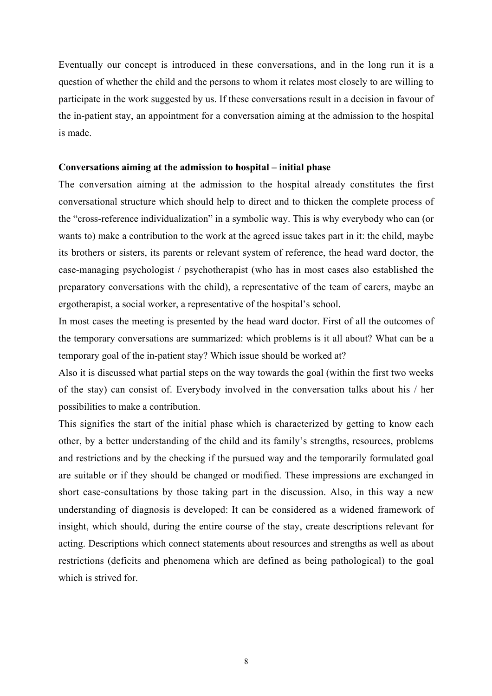Eventually our concept is introduced in these conversations, and in the long run it is a question of whether the child and the persons to whom it relates most closely to are willing to participate in the work suggested by us. If these conversations result in a decision in favour of the in-patient stay, an appointment for a conversation aiming at the admission to the hospital is made.

### **Conversations aiming at the admission to hospital – initial phase**

The conversation aiming at the admission to the hospital already constitutes the first conversational structure which should help to direct and to thicken the complete process of the "cross-reference individualization" in a symbolic way. This is why everybody who can (or wants to) make a contribution to the work at the agreed issue takes part in it: the child, maybe its brothers or sisters, its parents or relevant system of reference, the head ward doctor, the case-managing psychologist / psychotherapist (who has in most cases also established the preparatory conversations with the child), a representative of the team of carers, maybe an ergotherapist, a social worker, a representative of the hospital's school.

In most cases the meeting is presented by the head ward doctor. First of all the outcomes of the temporary conversations are summarized: which problems is it all about? What can be a temporary goal of the in-patient stay? Which issue should be worked at?

Also it is discussed what partial steps on the way towards the goal (within the first two weeks of the stay) can consist of. Everybody involved in the conversation talks about his / her possibilities to make a contribution.

This signifies the start of the initial phase which is characterized by getting to know each other, by a better understanding of the child and its family's strengths, resources, problems and restrictions and by the checking if the pursued way and the temporarily formulated goal are suitable or if they should be changed or modified. These impressions are exchanged in short case-consultations by those taking part in the discussion. Also, in this way a new understanding of diagnosis is developed: It can be considered as a widened framework of insight, which should, during the entire course of the stay, create descriptions relevant for acting. Descriptions which connect statements about resources and strengths as well as about restrictions (deficits and phenomena which are defined as being pathological) to the goal which is strived for.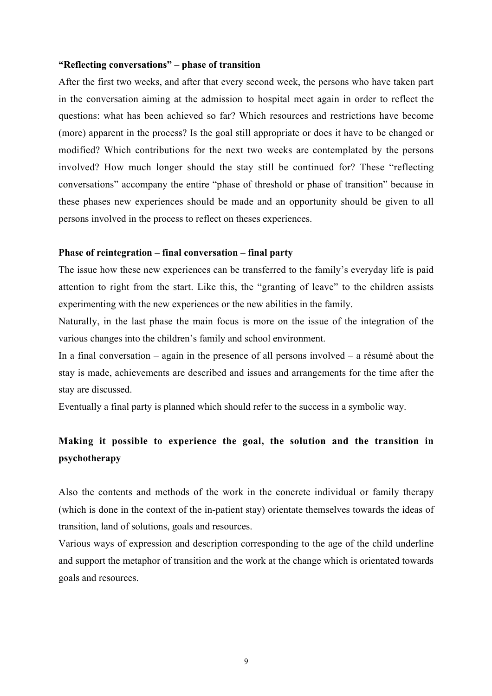### **"Reflecting conversations" – phase of transition**

After the first two weeks, and after that every second week, the persons who have taken part in the conversation aiming at the admission to hospital meet again in order to reflect the questions: what has been achieved so far? Which resources and restrictions have become (more) apparent in the process? Is the goal still appropriate or does it have to be changed or modified? Which contributions for the next two weeks are contemplated by the persons involved? How much longer should the stay still be continued for? These "reflecting conversations" accompany the entire "phase of threshold or phase of transition" because in these phases new experiences should be made and an opportunity should be given to all persons involved in the process to reflect on theses experiences.

### **Phase of reintegration – final conversation – final party**

The issue how these new experiences can be transferred to the family's everyday life is paid attention to right from the start. Like this, the "granting of leave" to the children assists experimenting with the new experiences or the new abilities in the family.

Naturally, in the last phase the main focus is more on the issue of the integration of the various changes into the children's family and school environment.

In a final conversation – again in the presence of all persons involved – a résumé about the stay is made, achievements are described and issues and arrangements for the time after the stay are discussed.

Eventually a final party is planned which should refer to the success in a symbolic way.

# **Making it possible to experience the goal, the solution and the transition in psychotherapy**

Also the contents and methods of the work in the concrete individual or family therapy (which is done in the context of the in-patient stay) orientate themselves towards the ideas of transition, land of solutions, goals and resources.

Various ways of expression and description corresponding to the age of the child underline and support the metaphor of transition and the work at the change which is orientated towards goals and resources.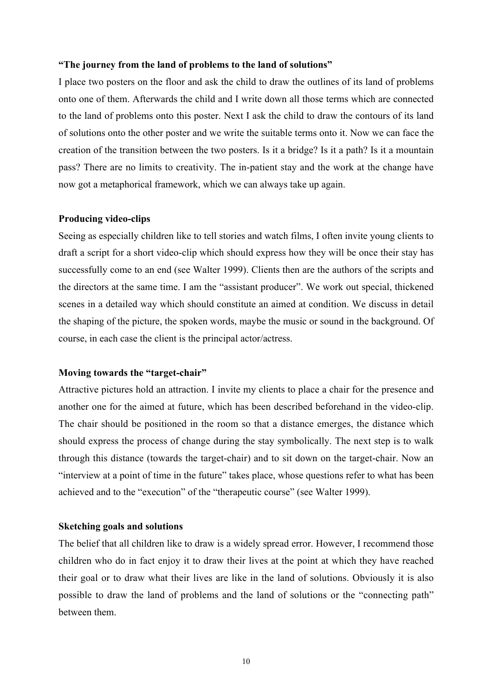### **"The journey from the land of problems to the land of solutions"**

I place two posters on the floor and ask the child to draw the outlines of its land of problems onto one of them. Afterwards the child and I write down all those terms which are connected to the land of problems onto this poster. Next I ask the child to draw the contours of its land of solutions onto the other poster and we write the suitable terms onto it. Now we can face the creation of the transition between the two posters. Is it a bridge? Is it a path? Is it a mountain pass? There are no limits to creativity. The in-patient stay and the work at the change have now got a metaphorical framework, which we can always take up again.

### **Producing video-clips**

Seeing as especially children like to tell stories and watch films, I often invite young clients to draft a script for a short video-clip which should express how they will be once their stay has successfully come to an end (see Walter 1999). Clients then are the authors of the scripts and the directors at the same time. I am the "assistant producer". We work out special, thickened scenes in a detailed way which should constitute an aimed at condition. We discuss in detail the shaping of the picture, the spoken words, maybe the music or sound in the background. Of course, in each case the client is the principal actor/actress.

### **Moving towards the "target-chair"**

Attractive pictures hold an attraction. I invite my clients to place a chair for the presence and another one for the aimed at future, which has been described beforehand in the video-clip. The chair should be positioned in the room so that a distance emerges, the distance which should express the process of change during the stay symbolically. The next step is to walk through this distance (towards the target-chair) and to sit down on the target-chair. Now an "interview at a point of time in the future" takes place, whose questions refer to what has been achieved and to the "execution" of the "therapeutic course" (see Walter 1999).

### **Sketching goals and solutions**

The belief that all children like to draw is a widely spread error. However, I recommend those children who do in fact enjoy it to draw their lives at the point at which they have reached their goal or to draw what their lives are like in the land of solutions. Obviously it is also possible to draw the land of problems and the land of solutions or the "connecting path" between them.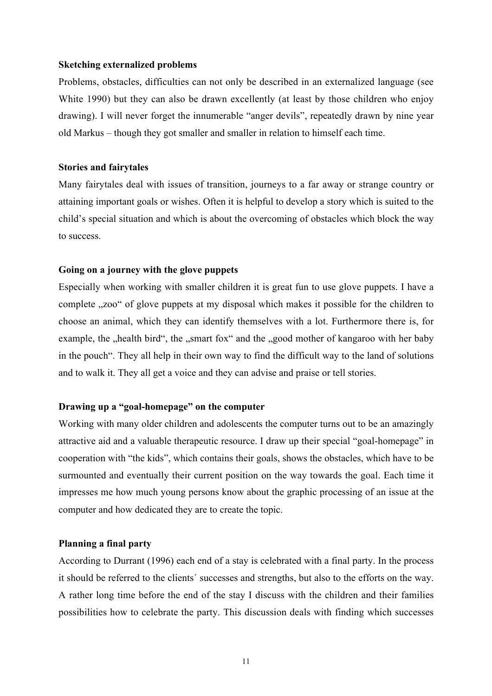### **Sketching externalized problems**

Problems, obstacles, difficulties can not only be described in an externalized language (see White 1990) but they can also be drawn excellently (at least by those children who enjoy drawing). I will never forget the innumerable "anger devils", repeatedly drawn by nine year old Markus – though they got smaller and smaller in relation to himself each time.

### **Stories and fairytales**

Many fairytales deal with issues of transition, journeys to a far away or strange country or attaining important goals or wishes. Often it is helpful to develop a story which is suited to the child's special situation and which is about the overcoming of obstacles which block the way to success.

### **Going on a journey with the glove puppets**

Especially when working with smaller children it is great fun to use glove puppets. I have a complete ... zoo" of glove puppets at my disposal which makes it possible for the children to choose an animal, which they can identify themselves with a lot. Furthermore there is, for example, the "health bird", the "smart fox" and the "good mother of kangaroo with her baby in the pouch". They all help in their own way to find the difficult way to the land of solutions and to walk it. They all get a voice and they can advise and praise or tell stories.

### **Drawing up a "goal-homepage" on the computer**

Working with many older children and adolescents the computer turns out to be an amazingly attractive aid and a valuable therapeutic resource. I draw up their special "goal-homepage" in cooperation with "the kids", which contains their goals, shows the obstacles, which have to be surmounted and eventually their current position on the way towards the goal. Each time it impresses me how much young persons know about the graphic processing of an issue at the computer and how dedicated they are to create the topic.

### **Planning a final party**

According to Durrant (1996) each end of a stay is celebrated with a final party. In the process it should be referred to the clients´ successes and strengths, but also to the efforts on the way. A rather long time before the end of the stay I discuss with the children and their families possibilities how to celebrate the party. This discussion deals with finding which successes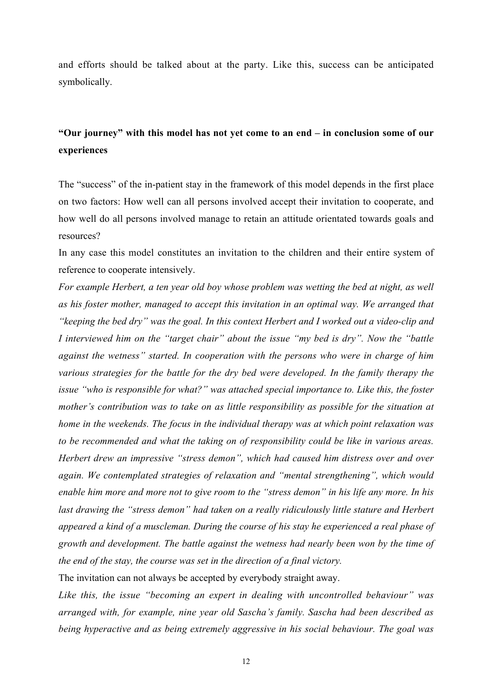and efforts should be talked about at the party. Like this, success can be anticipated symbolically.

# **"Our journey" with this model has not yet come to an end – in conclusion some of our experiences**

The "success" of the in-patient stay in the framework of this model depends in the first place on two factors: How well can all persons involved accept their invitation to cooperate, and how well do all persons involved manage to retain an attitude orientated towards goals and resources?

In any case this model constitutes an invitation to the children and their entire system of reference to cooperate intensively.

*For example Herbert, a ten year old boy whose problem was wetting the bed at night, as well as his foster mother, managed to accept this invitation in an optimal way. We arranged that "keeping the bed dry" was the goal. In this context Herbert and I worked out a video-clip and I interviewed him on the "target chair" about the issue "my bed is dry". Now the "battle against the wetness" started. In cooperation with the persons who were in charge of him various strategies for the battle for the dry bed were developed. In the family therapy the issue "who is responsible for what?" was attached special importance to. Like this, the foster mother's contribution was to take on as little responsibility as possible for the situation at home in the weekends. The focus in the individual therapy was at which point relaxation was to be recommended and what the taking on of responsibility could be like in various areas. Herbert drew an impressive "stress demon", which had caused him distress over and over again. We contemplated strategies of relaxation and "mental strengthening", which would enable him more and more not to give room to the "stress demon" in his life any more. In his last drawing the "stress demon" had taken on a really ridiculously little stature and Herbert appeared a kind of a muscleman. During the course of his stay he experienced a real phase of growth and development. The battle against the wetness had nearly been won by the time of the end of the stay, the course was set in the direction of a final victory.*

The invitation can not always be accepted by everybody straight away.

*Like this, the issue "becoming an expert in dealing with uncontrolled behaviour" was arranged with, for example, nine year old Sascha's family. Sascha had been described as being hyperactive and as being extremely aggressive in his social behaviour. The goal was*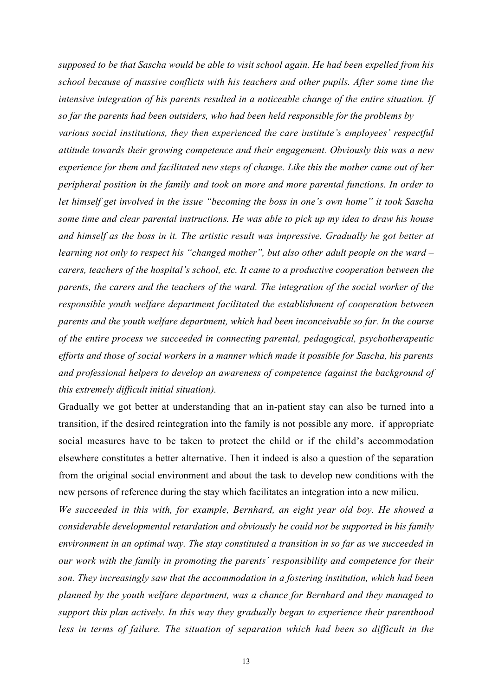*supposed to be that Sascha would be able to visit school again. He had been expelled from his school because of massive conflicts with his teachers and other pupils. After some time the intensive integration of his parents resulted in a noticeable change of the entire situation. If so far the parents had been outsiders, who had been held responsible for the problems by various social institutions, they then experienced the care institute's employees' respectful attitude towards their growing competence and their engagement. Obviously this was a new experience for them and facilitated new steps of change. Like this the mother came out of her peripheral position in the family and took on more and more parental functions. In order to let himself get involved in the issue "becoming the boss in one's own home" it took Sascha some time and clear parental instructions. He was able to pick up my idea to draw his house and himself as the boss in it. The artistic result was impressive. Gradually he got better at learning not only to respect his "changed mother", but also other adult people on the ward – carers, teachers of the hospital's school, etc. It came to a productive cooperation between the parents, the carers and the teachers of the ward. The integration of the social worker of the responsible youth welfare department facilitated the establishment of cooperation between parents and the youth welfare department, which had been inconceivable so far. In the course of the entire process we succeeded in connecting parental, pedagogical, psychotherapeutic efforts and those of social workers in a manner which made it possible for Sascha, his parents and professional helpers to develop an awareness of competence (against the background of this extremely difficult initial situation).*

Gradually we got better at understanding that an in-patient stay can also be turned into a transition, if the desired reintegration into the family is not possible any more, if appropriate social measures have to be taken to protect the child or if the child's accommodation elsewhere constitutes a better alternative. Then it indeed is also a question of the separation from the original social environment and about the task to develop new conditions with the new persons of reference during the stay which facilitates an integration into a new milieu.

*We succeeded in this with, for example, Bernhard, an eight year old boy. He showed a considerable developmental retardation and obviously he could not be supported in his family environment in an optimal way. The stay constituted a transition in so far as we succeeded in our work with the family in promoting the parents´ responsibility and competence for their son. They increasingly saw that the accommodation in a fostering institution, which had been planned by the youth welfare department, was a chance for Bernhard and they managed to support this plan actively. In this way they gradually began to experience their parenthood less in terms of failure. The situation of separation which had been so difficult in the*